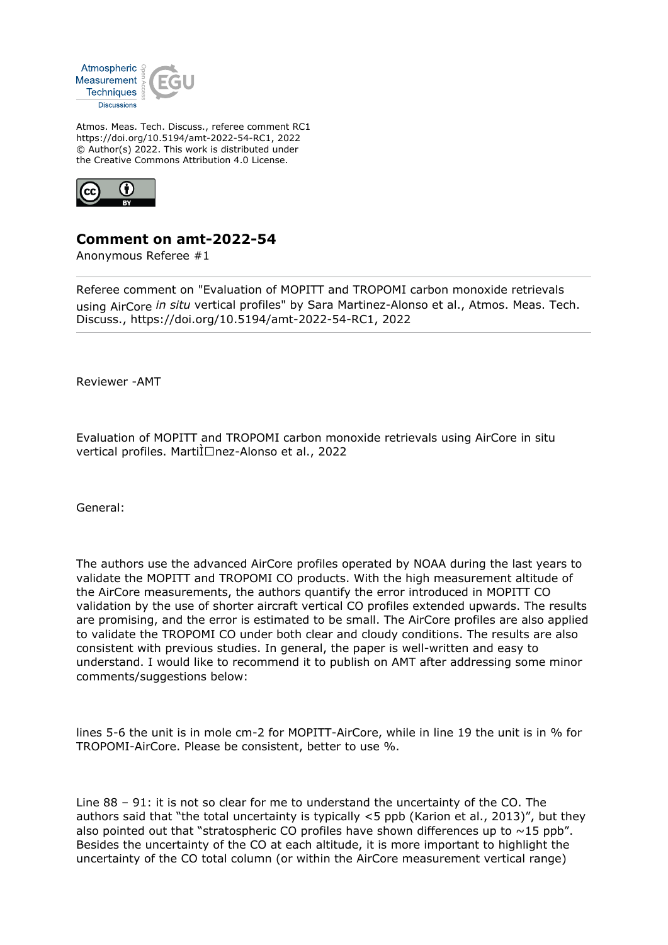

Atmos. Meas. Tech. Discuss., referee comment RC1 https://doi.org/10.5194/amt-2022-54-RC1, 2022 © Author(s) 2022. This work is distributed under the Creative Commons Attribution 4.0 License.



## **Comment on amt-2022-54**

Anonymous Referee #1

Referee comment on "Evaluation of MOPITT and TROPOMI carbon monoxide retrievals using AirCore *in situ* vertical profiles" by Sara Martinez-Alonso et al., Atmos. Meas. Tech. Discuss., https://doi.org/10.5194/amt-2022-54-RC1, 2022

Reviewer -AMT

Evaluation of MOPITT and TROPOMI carbon monoxide retrievals using AirCore in situ vertical profiles. MartiÌ□nez-Alonso et al., 2022

General:

The authors use the advanced AirCore profiles operated by NOAA during the last years to validate the MOPITT and TROPOMI CO products. With the high measurement altitude of the AirCore measurements, the authors quantify the error introduced in MOPITT CO validation by the use of shorter aircraft vertical CO profiles extended upwards. The results are promising, and the error is estimated to be small. The AirCore profiles are also applied to validate the TROPOMI CO under both clear and cloudy conditions. The results are also consistent with previous studies. In general, the paper is well-written and easy to understand. I would like to recommend it to publish on AMT after addressing some minor comments/suggestions below:

lines 5-6 the unit is in mole cm-2 for MOPITT-AirCore, while in line 19 the unit is in % for TROPOMI-AirCore. Please be consistent, better to use %.

Line 88 – 91: it is not so clear for me to understand the uncertainty of the CO. The authors said that "the total uncertainty is typically <5 ppb (Karion et al., 2013)", but they also pointed out that "stratospheric CO profiles have shown differences up to  $\sim$ 15 ppb". Besides the uncertainty of the CO at each altitude, it is more important to highlight the uncertainty of the CO total column (or within the AirCore measurement vertical range)